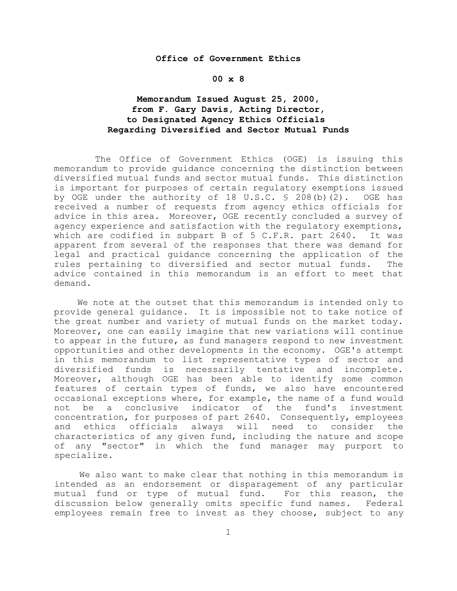# **Office of Government Ethics**

# **00 x 8**

# **Memorandum Issued August 25, 2000, from F. Gary Davis, Acting Director, to Designated Agency Ethics Officials Regarding Diversified and Sector Mutual Funds**

 The Office of Government Ethics (OGE) is issuing this memorandum to provide guidance concerning the distinction between diversified mutual funds and sector mutual funds. This distinction is important for purposes of certain regulatory exemptions issued by OGE under the authority of 18 U.S.C. § 208(b)(2). OGE has received a number of requests from agency ethics officials for advice in this area. Moreover, OGE recently concluded a survey of agency experience and satisfaction with the regulatory exemptions, which are codified in subpart B of 5 C.F.R. part 2640. It was apparent from several of the responses that there was demand for legal and practical guidance concerning the application of the rules pertaining to diversified and sector mutual funds. The advice contained in this memorandum is an effort to meet that demand.

 We note at the outset that this memorandum is intended only to provide general guidance. It is impossible not to take notice of the great number and variety of mutual funds on the market today. Moreover, one can easily imagine that new variations will continue to appear in the future, as fund managers respond to new investment opportunities and other developments in the economy. OGE's attempt in this memorandum to list representative types of sector and diversified funds is necessarily tentative and incomplete. Moreover, although OGE has been able to identify some common features of certain types of funds, we also have encountered occasional exceptions where, for example, the name of a fund would not be a conclusive indicator of the fund's investment concentration, for purposes of part 2640. Consequently, employees and ethics officials always will need to consider the characteristics of any given fund, including the nature and scope of any "sector" in which the fund manager may purport to specialize.

 We also want to make clear that nothing in this memorandum is intended as an endorsement or disparagement of any particular mutual fund or type of mutual fund. For this reason, the discussion below generally omits specific fund names. Federal employees remain free to invest as they choose, subject to any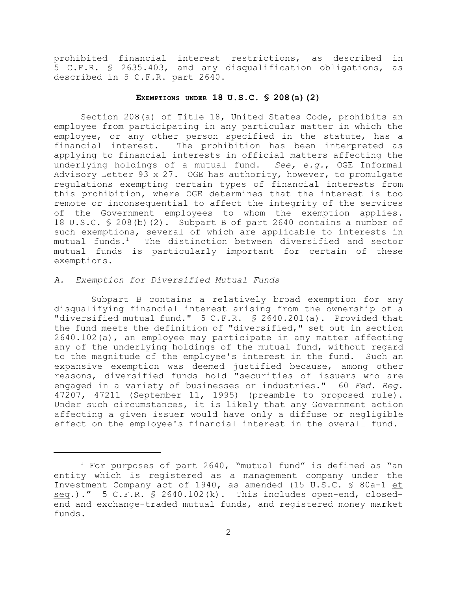prohibited financial interest restrictions, as described in 5 C.F.R. § 2635.403, and any disqualification obligations, as described in 5 C.F.R. part 2640.

## **EXEMPTIONS UNDER 18 U.S.C. § 208(B)(2)**

 Section 208(a) of Title 18, United States Code, prohibits an employee from participating in any particular matter in which the employee, or any other person specified in the statute, has a financial interest. The prohibition has been interpreted as The prohibition has been interpreted as applying to financial interests in official matters affecting the underlying holdings of a mutual fund. *See, e.g.*, OGE Informal Advisory Letter 93 x 27. OGE has authority, however, to promulgate regulations exempting certain types of financial interests from this prohibition, where OGE determines that the interest is too remote or inconsequential to affect the integrity of the services of the Government employees to whom the exemption applies. 18 U.S.C. § 208(b)(2). Subpart B of part 2640 contains a number of such exemptions, several of which are applicable to interests in mutual funds.<sup>1</sup> The distinction between diversified and sector mutual funds is particularly important for certain of these exemptions.

## *A. Exemption for Diversified Mutual Funds*

 Subpart B contains a relatively broad exemption for any disqualifying financial interest arising from the ownership of a "diversified mutual fund." 5 C.F.R. § 2640.201(a). Provided that the fund meets the definition of "diversified," set out in section 2640.102(a), an employee may participate in any matter affecting any of the underlying holdings of the mutual fund, without regard to the magnitude of the employee's interest in the fund. Such an expansive exemption was deemed justified because, among other reasons, diversified funds hold "securities of issuers who are engaged in a variety of businesses or industries." 60 *Fed. Reg*. 47207, 47211 (September 11, 1995) (preamble to proposed rule). Under such circumstances, it is likely that any Government action affecting a given issuer would have only a diffuse or negligible effect on the employee's financial interest in the overall fund.

 $1$  For purposes of part 2640, "mutual fund" is defined as "an entity which is registered as a management company under the Investment Company act of 1940, as amended (15 U.S.C. § 80a-1 et seq.)." 5 C.F.R. § 2640.102(k). This includes open-end, closedend and exchange-traded mutual funds, and registered money market funds.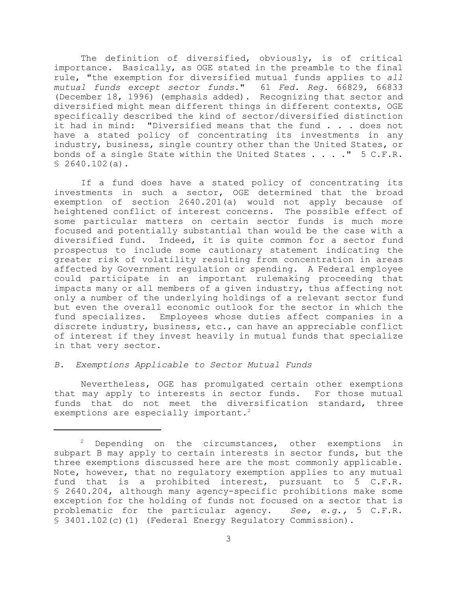The definition of diversified, obviously, is of critical importance. Basically, as OGE stated in the preamble to the final rule, "the exemption for diversified mutual funds applies to *all mutual funds except sector funds*." 61 *Fed. Reg*. 66829, 66833 (December 18, 1996) (emphasis added). Recognizing that sector and diversified might mean different things in different contexts, OGE specifically described the kind of sector/diversified distinction it had in mind: "Diversified means that the fund . . . does not have a stated policy of concentrating its investments in any industry, business, single country other than the United States, or bonds of a single State within the United States . . . ." 5 C.F.R.  $$2640.102(a)$ .

If a fund does have a stated policy of concentrating its investments in such a sector, OGE determined that the broad exemption of section 2640.201(a) would not apply because of heightened conflict of interest concerns. The possible effect of some particular matters on certain sector funds is much more focused and potentially substantial than would be the case with a diversified fund. Indeed, it is quite common for a sector fund prospectus to include some cautionary statement indicating the greater risk of volatility resulting from concentration in areas affected by Government regulation or spending. A Federal employee could participate in an important rulemaking proceeding that impacts many or all members of a given industry, thus affecting not only a number of the underlying holdings of a relevant sector fund but even the overall economic outlook for the sector in which the fund specializes. Employees whose duties affect companies in a discrete industry, business, etc., can have an appreciable conflict of interest if they invest heavily in mutual funds that specialize in that very sector.

# *B. Exemptions Applicable to Sector Mutual Funds*

Nevertheless, OGE has promulgated certain other exemptions that may apply to interests in sector funds. For those mutual funds that do not meet the diversification standard, three exemptions are especially important.<sup>2</sup>

 $2$  Depending on the circumstances, other exemptions in subpart B may apply to certain interests in sector funds, but the three exemptions discussed here are the most commonly applicable. Note, however, that no regulatory exemption applies to any mutual fund that is a prohibited interest, pursuant to 5 C.F.R. § 2640.204, although many agency-specific prohibitions make some exception for the holding of funds not focused on a sector that is problematic for the particular agency. *See, e.g.,* 5 C.F.R. § 3401.102(c)(1) (Federal Energy Regulatory Commission).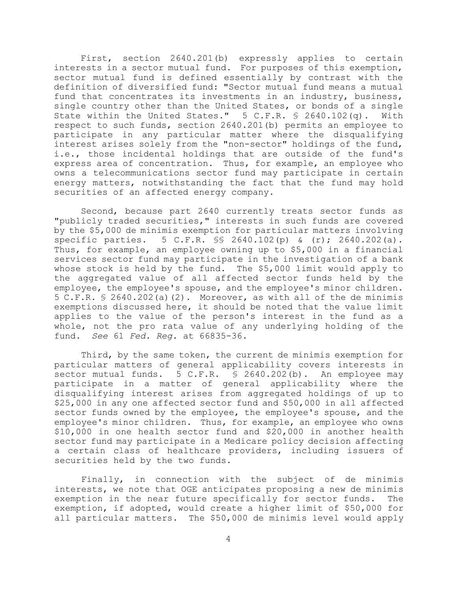First, section 2640.201(b) expressly applies to certain interests in a sector mutual fund. For purposes of this exemption, sector mutual fund is defined essentially by contrast with the definition of diversified fund: "Sector mutual fund means a mutual fund that concentrates its investments in an industry, business, single country other than the United States, or bonds of a single State within the United States." 5 C.F.R. § 2640.102(q). With respect to such funds, section 2640.201(b) permits an employee to participate in any particular matter where the disqualifying interest arises solely from the "non-sector" holdings of the fund, i.e., those incidental holdings that are outside of the fund's express area of concentration. Thus, for example, an employee who owns a telecommunications sector fund may participate in certain energy matters, notwithstanding the fact that the fund may hold securities of an affected energy company.

Second, because part 2640 currently treats sector funds as "publicly traded securities," interests in such funds are covered by the \$5,000 de minimis exemption for particular matters involving specific parties. 5 C.F.R. §§ 2640.102(p) & (r); 2640.202(a). Thus, for example, an employee owning up to \$5,000 in a financial services sector fund may participate in the investigation of a bank whose stock is held by the fund. The \$5,000 limit would apply to the aggregated value of all affected sector funds held by the employee, the employee's spouse, and the employee's minor children. 5 C.F.R.  $\frac{1}{5}$  2640.202(a)(2). Moreover, as with all of the de minimis exemptions discussed here, it should be noted that the value limit applies to the value of the person's interest in the fund as a whole, not the pro rata value of any underlying holding of the fund. *See* 61 *Fed. Reg*. at 66835-36.

Third, by the same token, the current de minimis exemption for particular matters of general applicability covers interests in sector mutual funds. 5 C.F.R. § 2640.202(b). An employee may participate in a matter of general applicability where the disqualifying interest arises from aggregated holdings of up to \$25,000 in any one affected sector fund and \$50,000 in all affected sector funds owned by the employee, the employee's spouse, and the employee's minor children. Thus, for example, an employee who owns \$10,000 in one health sector fund and \$20,000 in another health sector fund may participate in a Medicare policy decision affecting a certain class of healthcare providers, including issuers of securities held by the two funds.

Finally, in connection with the subject of de minimis interests, we note that OGE anticipates proposing a new de minimis exemption in the near future specifically for sector funds. The exemption, if adopted, would create a higher limit of \$50,000 for all particular matters. The \$50,000 de minimis level would apply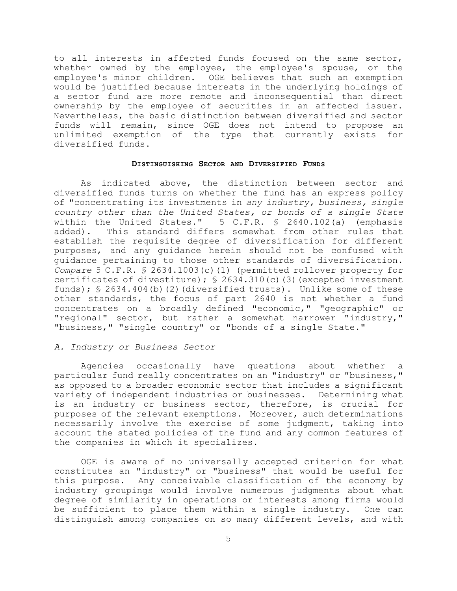to all interests in affected funds focused on the same sector, whether owned by the employee, the employee's spouse, or the employee's minor children. OGE believes that such an exemption would be justified because interests in the underlying holdings of a sector fund are more remote and inconsequential than direct ownership by the employee of securities in an affected issuer. Nevertheless, the basic distinction between diversified and sector funds will remain, since OGE does not intend to propose an unlimited exemption of the type that currently exists for diversified funds.

#### **DISTINGUISHING SECTOR AND DIVERSIFIED FUNDS**

As indicated above, the distinction between sector and diversified funds turns on whether the fund has an express policy of "concentrating its investments in *any industry, business, single country other than the United States, or bonds of a single State* within the United States." 5 C.F.R. § 2640.102(a) (emphasis added). This standard differs somewhat from other rules that establish the requisite degree of diversification for different purposes, and any guidance herein should not be confused with guidance pertaining to those other standards of diversification. *Compare* 5 C.F.R. § 2634.1003(c)(1) (permitted rollover property for certificates of divestiture);  $\frac{1}{5}$  2634.310(c)(3)(excepted investment funds);  $$2634.404(b)(2)$  (diversified trusts). Unlike some of these other standards, the focus of part 2640 is not whether a fund concentrates on a broadly defined "economic," "geographic" or "regional" sector, but rather a somewhat narrower "industry," "business," "single country" or "bonds of a single State."

#### *A. Industry or Business Sector*

Agencies occasionally have questions about whether a particular fund really concentrates on an "industry" or "business," as opposed to a broader economic sector that includes a significant variety of independent industries or businesses. Determining what is an industry or business sector, therefore, is crucial for purposes of the relevant exemptions. Moreover, such determinations necessarily involve the exercise of some judgment, taking into account the stated policies of the fund and any common features of the companies in which it specializes.

OGE is aware of no universally accepted criterion for what constitutes an "industry" or "business" that would be useful for this purpose. Any conceivable classification of the economy by industry groupings would involve numerous judgments about what degree of similarity in operations or interests among firms would be sufficient to place them within a single industry. One can distinguish among companies on so many different levels, and with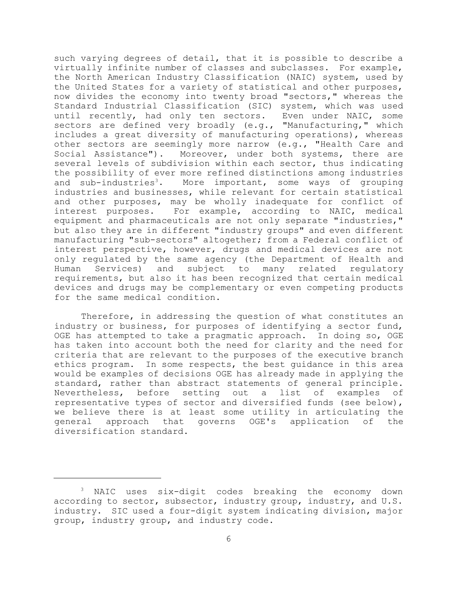such varying degrees of detail, that it is possible to describe a virtually infinite number of classes and subclasses. For example, the North American Industry Classification (NAIC) system, used by the United States for a variety of statistical and other purposes, now divides the economy into twenty broad "sectors," whereas the Standard Industrial Classification (SIC) system, which was used until recently, had only ten sectors. Even under NAIC, some sectors are defined very broadly (e.g., "Manufacturing," which includes a great diversity of manufacturing operations), whereas other sectors are seemingly more narrow (e.g., "Health Care and Social Assistance"). Moreover, under both systems, there are several levels of subdivision within each sector, thus indicating the possibility of ever more refined distinctions among industries and sub-industries<sup>3</sup>. More important, some ways of grouping industries and businesses, while relevant for certain statistical and other purposes, may be wholly inadequate for conflict of interest purposes. For example, according to NAIC, medical equipment and pharmaceuticals are not only separate "industries," but also they are in different "industry groups" and even different manufacturing "sub-sectors" altogether; from a Federal conflict of interest perspective, however, drugs and medical devices are not only regulated by the same agency (the Department of Health and Human Services) and subject to many related regulatory requirements, but also it has been recognized that certain medical devices and drugs may be complementary or even competing products for the same medical condition.

Therefore, in addressing the question of what constitutes an industry or business, for purposes of identifying a sector fund, OGE has attempted to take a pragmatic approach. In doing so, OGE has taken into account both the need for clarity and the need for criteria that are relevant to the purposes of the executive branch ethics program. In some respects, the best guidance in this area would be examples of decisions OGE has already made in applying the standard, rather than abstract statements of general principle. Nevertheless, before setting out a list of examples of representative types of sector and diversified funds (see below), we believe there is at least some utility in articulating the general approach that governs OGE's application of the diversification standard.

<sup>&</sup>lt;sup>3</sup> NAIC uses six-digit codes breaking the economy down according to sector, subsector, industry group, industry, and U.S. industry. SIC used a four-digit system indicating division, major group, industry group, and industry code.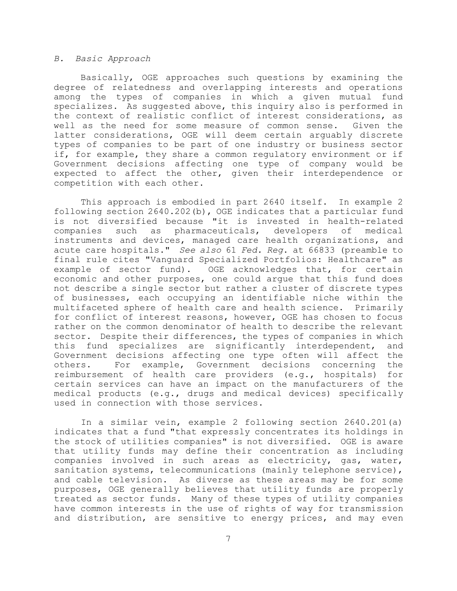#### *B. Basic Approach*

Basically, OGE approaches such questions by examining the degree of relatedness and overlapping interests and operations among the types of companies in which a given mutual fund specializes. As suggested above, this inquiry also is performed in the context of realistic conflict of interest considerations, as well as the need for some measure of common sense. Given the latter considerations, OGE will deem certain arguably discrete types of companies to be part of one industry or business sector if, for example, they share a common regulatory environment or if Government decisions affecting one type of company would be expected to affect the other, given their interdependence or competition with each other.

This approach is embodied in part 2640 itself. In example 2 following section 2640.202(b), OGE indicates that a particular fund is not diversified because "it is invested in health-related companies such as pharmaceuticals, developers of medical instruments and devices, managed care health organizations, and acute care hospitals." *See also* 61 *Fed. Reg*. at 66833 (preamble to final rule cites "Vanguard Specialized Portfolios: Healthcare" as example of sector fund). OGE acknowledges that, for certain economic and other purposes, one could argue that this fund does not describe a single sector but rather a cluster of discrete types of businesses, each occupying an identifiable niche within the multifaceted sphere of health care and health science. Primarily for conflict of interest reasons, however, OGE has chosen to focus rather on the common denominator of health to describe the relevant sector. Despite their differences, the types of companies in which this fund specializes are significantly interdependent, and Government decisions affecting one type often will affect the others. For example, Government decisions concerning the reimbursement of health care providers (e.g., hospitals) for certain services can have an impact on the manufacturers of the medical products (e.g., drugs and medical devices) specifically used in connection with those services.

In a similar vein, example 2 following section 2640.201(a) indicates that a fund "that expressly concentrates its holdings in the stock of utilities companies" is not diversified. OGE is aware that utility funds may define their concentration as including companies involved in such areas as electricity, gas, water, sanitation systems, telecommunications (mainly telephone service), and cable television. As diverse as these areas may be for some purposes, OGE generally believes that utility funds are properly treated as sector funds. Many of these types of utility companies have common interests in the use of rights of way for transmission and distribution, are sensitive to energy prices, and may even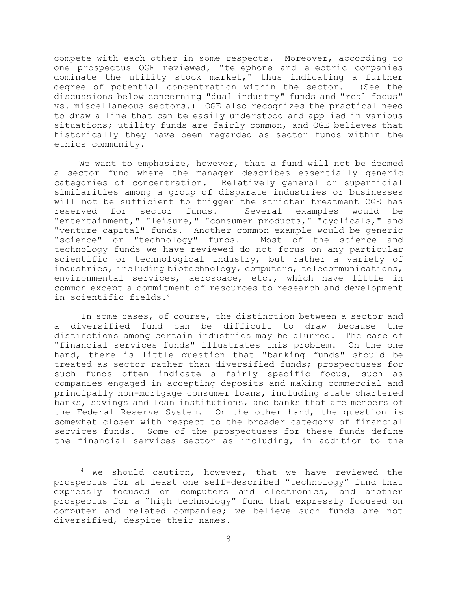compete with each other in some respects. Moreover, according to one prospectus OGE reviewed, "telephone and electric companies dominate the utility stock market," thus indicating a further degree of potential concentration within the sector. (See the discussions below concerning "dual industry" funds and "real focus" vs. miscellaneous sectors.) OGE also recognizes the practical need to draw a line that can be easily understood and applied in various situations; utility funds are fairly common, and OGE believes that historically they have been regarded as sector funds within the ethics community.

 We want to emphasize, however, that a fund will not be deemed a sector fund where the manager describes essentially generic categories of concentration. Relatively general or superficial similarities among a group of disparate industries or businesses will not be sufficient to trigger the stricter treatment OGE has reserved for sector funds. Several examples would be "entertainment," "leisure," "consumer products," "cyclicals," and "venture capital" funds. Another common example would be generic "science" or "technology" funds. technology funds we have reviewed do not focus on any particular scientific or technological industry, but rather a variety of industries, including biotechnology, computers, telecommunications, environmental services, aerospace, etc., which have little in common except a commitment of resources to research and development in scientific fields.<sup>4</sup>

In some cases, of course, the distinction between a sector and a diversified fund can be difficult to draw because the distinctions among certain industries may be blurred. The case of "financial services funds" illustrates this problem. On the one hand, there is little question that "banking funds" should be treated as sector rather than diversified funds; prospectuses for such funds often indicate a fairly specific focus, such as companies engaged in accepting deposits and making commercial and principally non-mortgage consumer loans, including state chartered banks, savings and loan institutions, and banks that are members of the Federal Reserve System. On the other hand, the question is somewhat closer with respect to the broader category of financial services funds. Some of the prospectuses for these funds define the financial services sector as including, in addition to the

 $4$  We should caution, however, that we have reviewed the prospectus for at least one self-described "technology" fund that expressly focused on computers and electronics, and another prospectus for a "high technology" fund that expressly focused on computer and related companies; we believe such funds are not diversified, despite their names.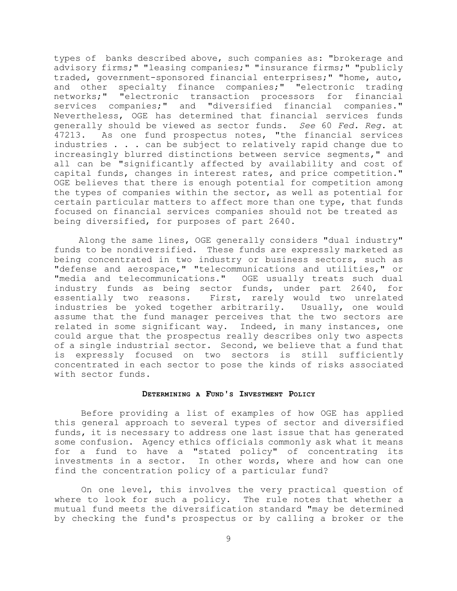types of banks described above, such companies as: "brokerage and advisory firms;" "leasing companies;" "insurance firms;" "publicly traded, government-sponsored financial enterprises;" "home, auto, and other specialty finance companies;" "electronic trading networks;" "electronic transaction processors for financial services companies;" and "diversified financial companies." Nevertheless, OGE has determined that financial services funds generally should be viewed as sector funds. *See* 60 *Fed. Reg.* at 47213. As one fund prospectus notes, "the financial services industries . . . can be subject to relatively rapid change due to increasingly blurred distinctions between service segments," and all can be "significantly affected by availability and cost of capital funds, changes in interest rates, and price competition." OGE believes that there is enough potential for competition among the types of companies within the sector, as well as potential for certain particular matters to affect more than one type, that funds focused on financial services companies should not be treated as being diversified, for purposes of part 2640.

 Along the same lines, OGE generally considers "dual industry" funds to be nondiversified. These funds are expressly marketed as being concentrated in two industry or business sectors, such as "defense and aerospace," "telecommunications and utilities," or "media and telecommunications." OGE usually treats such dual industry funds as being sector funds, under part 2640, for essentially two reasons. First, rarely would two unrelated industries be yoked together arbitrarily. Usually, one would assume that the fund manager perceives that the two sectors are related in some significant way. Indeed, in many instances, one could argue that the prospectus really describes only two aspects of a single industrial sector. Second, we believe that a fund that is expressly focused on two sectors is still sufficiently concentrated in each sector to pose the kinds of risks associated with sector funds.

# **DETERMINING A FUND'S INVESTMENT POLICY**

Before providing a list of examples of how OGE has applied this general approach to several types of sector and diversified funds, it is necessary to address one last issue that has generated some confusion. Agency ethics officials commonly ask what it means for a fund to have a "stated policy" of concentrating its investments in a sector. In other words, where and how can one find the concentration policy of a particular fund?

On one level, this involves the very practical question of where to look for such a policy. The rule notes that whether a mutual fund meets the diversification standard "may be determined by checking the fund's prospectus or by calling a broker or the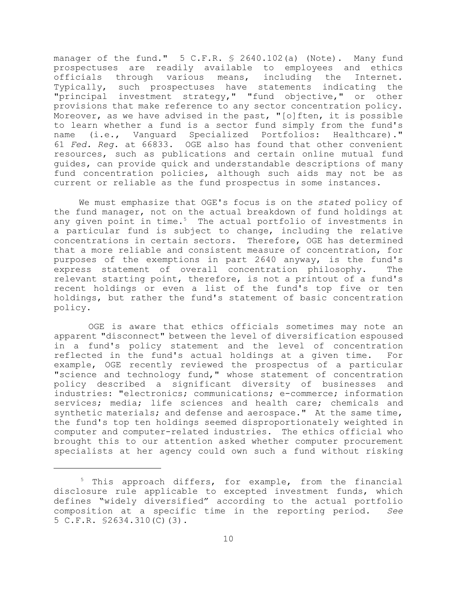manager of the fund." 5 C.F.R. § 2640.102(a) (Note). Many fund prospectuses are readily available to employees and ethics officials through various means, including the Internet. Typically, such prospectuses have statements indicating the "principal investment strategy," "fund objective," or other provisions that make reference to any sector concentration policy. Moreover, as we have advised in the past, "[o]ften, it is possible to learn whether a fund is a sector fund simply from the fund's name (i.e., Vanguard Specialized Portfolios: Healthcare)." 61 *Fed. Reg*. at 66833. OGE also has found that other convenient resources, such as publications and certain online mutual fund guides, can provide quick and understandable descriptions of many fund concentration policies, although such aids may not be as current or reliable as the fund prospectus in some instances.

 We must emphasize that OGE's focus is on the *stated* policy of the fund manager, not on the actual breakdown of fund holdings at any given point in time. $5$  The actual portfolio of investments in a particular fund is subject to change, including the relative concentrations in certain sectors. Therefore, OGE has determined that a more reliable and consistent measure of concentration, for purposes of the exemptions in part 2640 anyway, is the fund's express statement of overall concentration philosophy. The relevant starting point, therefore, is not a printout of a fund's recent holdings or even a list of the fund's top five or ten holdings, but rather the fund's statement of basic concentration policy.

 OGE is aware that ethics officials sometimes may note an apparent "disconnect" between the level of diversification espoused in a fund's policy statement and the level of concentration reflected in the fund's actual holdings at a given time. For example, OGE recently reviewed the prospectus of a particular "science and technology fund," whose statement of concentration policy described a significant diversity of businesses and industries: "electronics; communications; e-commerce; information services; media; life sciences and health care; chemicals and synthetic materials; and defense and aerospace." At the same time, the fund's top ten holdings seemed disproportionately weighted in computer and computer-related industries. The ethics official who brought this to our attention asked whether computer procurement specialists at her agency could own such a fund without risking

<sup>5</sup> This approach differs, for example, from the financial disclosure rule applicable to excepted investment funds, which defines "widely diversified" according to the actual portfolio composition at a specific time in the reporting period. *See* 5 C.F.R. §2634.310(C)(3).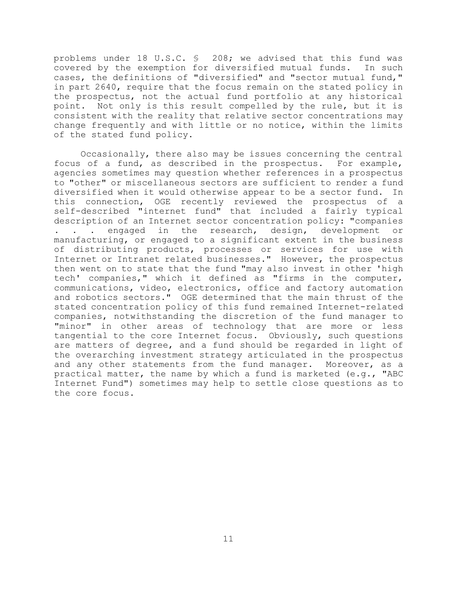problems under 18 U.S.C. § 208; we advised that this fund was covered by the exemption for diversified mutual funds. In such cases, the definitions of "diversified" and "sector mutual fund," in part 2640, require that the focus remain on the stated policy in the prospectus, not the actual fund portfolio at any historical point. Not only is this result compelled by the rule, but it is consistent with the reality that relative sector concentrations may change frequently and with little or no notice, within the limits of the stated fund policy.

Occasionally, there also may be issues concerning the central focus of a fund, as described in the prospectus. For example, agencies sometimes may question whether references in a prospectus to "other" or miscellaneous sectors are sufficient to render a fund diversified when it would otherwise appear to be a sector fund. In this connection, OGE recently reviewed the prospectus of a self-described "internet fund" that included a fairly typical description of an Internet sector concentration policy: "companies . . . engaged in the research, design, development or manufacturing, or engaged to a significant extent in the business of distributing products, processes or services for use with Internet or Intranet related businesses." However, the prospectus then went on to state that the fund "may also invest in other 'high tech' companies," which it defined as "firms in the computer, communications, video, electronics, office and factory automation and robotics sectors." OGE determined that the main thrust of the stated concentration policy of this fund remained Internet-related companies, notwithstanding the discretion of the fund manager to "minor" in other areas of technology that are more or less tangential to the core Internet focus. Obviously, such questions are matters of degree, and a fund should be regarded in light of the overarching investment strategy articulated in the prospectus and any other statements from the fund manager. Moreover, as a practical matter, the name by which a fund is marketed (e.g., "ABC Internet Fund") sometimes may help to settle close questions as to the core focus.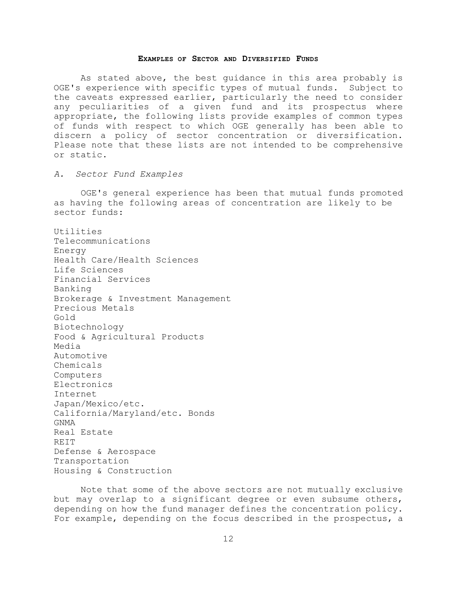#### **EXAMPLES OF SECTOR AND DIVERSIFIED FUNDS**

As stated above, the best guidance in this area probably is OGE's experience with specific types of mutual funds. Subject to the caveats expressed earlier, particularly the need to consider any peculiarities of a given fund and its prospectus where appropriate, the following lists provide examples of common types of funds with respect to which OGE generally has been able to discern a policy of sector concentration or diversification. Please note that these lists are not intended to be comprehensive or static.

*A. Sector Fund Examples*

OGE's general experience has been that mutual funds promoted as having the following areas of concentration are likely to be sector funds:

Utilities Telecommunications Energy Health Care/Health Sciences Life Sciences Financial Services Banking Brokerage & Investment Management Precious Metals Gold Biotechnology Food & Agricultural Products Media Automotive Chemicals Computers Electronics Internet Japan/Mexico/etc. California/Maryland/etc. Bonds GNMA Real Estate REIT Defense & Aerospace Transportation Housing & Construction

Note that some of the above sectors are not mutually exclusive but may overlap to a significant degree or even subsume others, depending on how the fund manager defines the concentration policy. For example, depending on the focus described in the prospectus, a